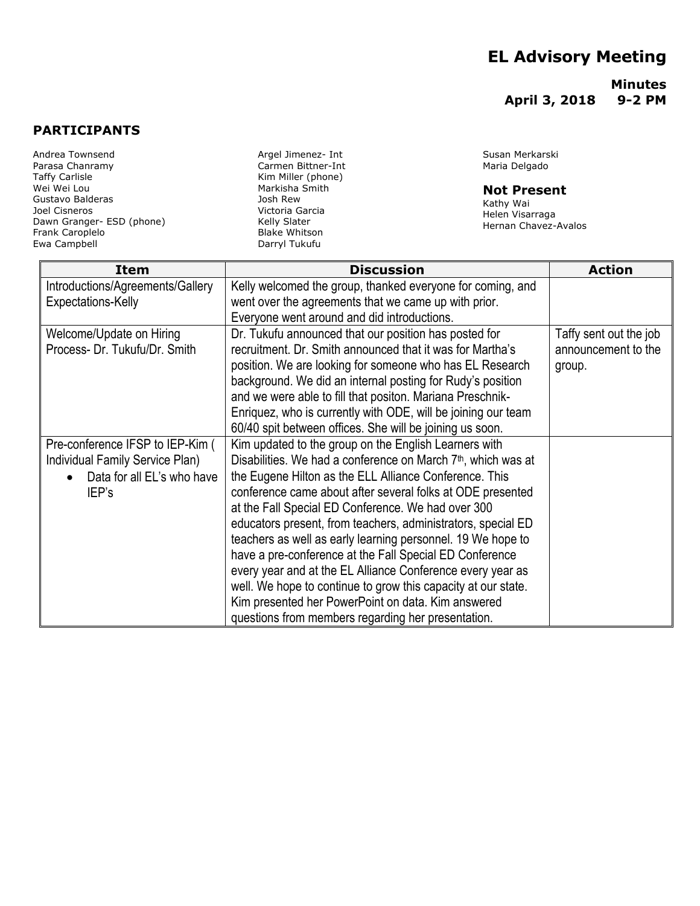## **EL Advisory Meeting**

**Minutes April 3, 2018 9-2 PM**

## **PARTICIPANTS**

Andrea Townsend Parasa Chanramy Taffy Carlisle Wei Wei Lou Gustavo Balderas Joel Cisneros Dawn Granger- ESD (phone) Frank Caroplelo Ewa Campbell

Argel Jimenez- Int Carmen Bittner-Int Kim Miller (phone) Markisha Smith Josh Rew Victoria Garcia Kelly Slater Blake Whitson Darryl Tukufu

Susan Merkarski Maria Delgado

## **Not Present**

Kathy Wai Helen Visarraga Hernan Chavez-Avalos

| Item                             | <b>Discussion</b>                                                         | <b>Action</b>          |
|----------------------------------|---------------------------------------------------------------------------|------------------------|
| Introductions/Agreements/Gallery | Kelly welcomed the group, thanked everyone for coming, and                |                        |
| Expectations-Kelly               | went over the agreements that we came up with prior.                      |                        |
|                                  | Everyone went around and did introductions.                               |                        |
| Welcome/Update on Hiring         | Dr. Tukufu announced that our position has posted for                     | Taffy sent out the job |
| Process- Dr. Tukufu/Dr. Smith    | recruitment. Dr. Smith announced that it was for Martha's                 | announcement to the    |
|                                  | position. We are looking for someone who has EL Research                  | group.                 |
|                                  | background. We did an internal posting for Rudy's position                |                        |
|                                  | and we were able to fill that positon. Mariana Preschnik-                 |                        |
|                                  | Enriquez, who is currently with ODE, will be joining our team             |                        |
|                                  | 60/40 spit between offices. She will be joining us soon.                  |                        |
| Pre-conference IFSP to IEP-Kim ( | Kim updated to the group on the English Learners with                     |                        |
| Individual Family Service Plan)  | Disabilities. We had a conference on March 7 <sup>th</sup> , which was at |                        |
| Data for all EL's who have       | the Eugene Hilton as the ELL Alliance Conference. This                    |                        |
| IEP's                            | conference came about after several folks at ODE presented                |                        |
|                                  | at the Fall Special ED Conference. We had over 300                        |                        |
|                                  | educators present, from teachers, administrators, special ED              |                        |
|                                  | teachers as well as early learning personnel. 19 We hope to               |                        |
|                                  | have a pre-conference at the Fall Special ED Conference                   |                        |
|                                  | every year and at the EL Alliance Conference every year as                |                        |
|                                  | well. We hope to continue to grow this capacity at our state.             |                        |
|                                  | Kim presented her PowerPoint on data. Kim answered                        |                        |
|                                  | questions from members regarding her presentation.                        |                        |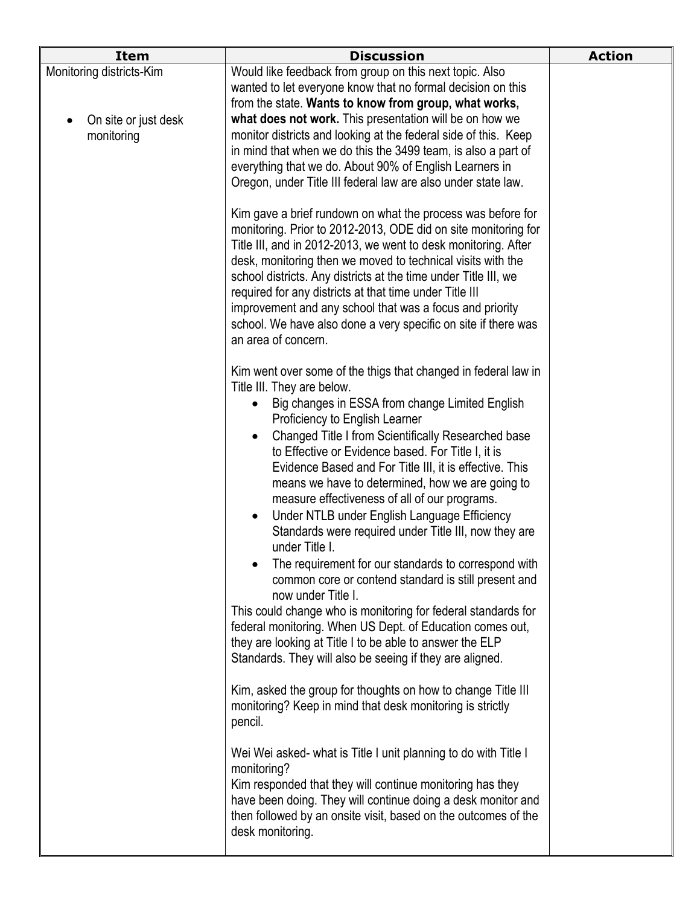|                                                                | <b>Discussion</b>                                                                                                                                                                                                                                                                                                                                                                                                                                                                                                                                                                                                                                                                                                                                                                                                                                                                                                                                                                                               | <b>Action</b> |
|----------------------------------------------------------------|-----------------------------------------------------------------------------------------------------------------------------------------------------------------------------------------------------------------------------------------------------------------------------------------------------------------------------------------------------------------------------------------------------------------------------------------------------------------------------------------------------------------------------------------------------------------------------------------------------------------------------------------------------------------------------------------------------------------------------------------------------------------------------------------------------------------------------------------------------------------------------------------------------------------------------------------------------------------------------------------------------------------|---------------|
| Monitoring districts-Kim<br>On site or just desk<br>monitoring | Would like feedback from group on this next topic. Also<br>wanted to let everyone know that no formal decision on this<br>from the state. Wants to know from group, what works,<br>what does not work. This presentation will be on how we<br>monitor districts and looking at the federal side of this. Keep<br>in mind that when we do this the 3499 team, is also a part of<br>everything that we do. About 90% of English Learners in<br>Oregon, under Title III federal law are also under state law.                                                                                                                                                                                                                                                                                                                                                                                                                                                                                                      |               |
|                                                                | Kim gave a brief rundown on what the process was before for<br>monitoring. Prior to 2012-2013, ODE did on site monitoring for<br>Title III, and in 2012-2013, we went to desk monitoring. After<br>desk, monitoring then we moved to technical visits with the<br>school districts. Any districts at the time under Title III, we<br>required for any districts at that time under Title III<br>improvement and any school that was a focus and priority<br>school. We have also done a very specific on site if there was<br>an area of concern.                                                                                                                                                                                                                                                                                                                                                                                                                                                               |               |
|                                                                | Kim went over some of the thigs that changed in federal law in<br>Title III. They are below.<br>Big changes in ESSA from change Limited English<br>Proficiency to English Learner<br>Changed Title I from Scientifically Researched base<br>$\bullet$<br>to Effective or Evidence based. For Title I, it is<br>Evidence Based and For Title III, it is effective. This<br>means we have to determined, how we are going to<br>measure effectiveness of all of our programs.<br>Under NTLB under English Language Efficiency<br>$\bullet$<br>Standards were required under Title III, now they are<br>under Title I.<br>The requirement for our standards to correspond with<br>common core or contend standard is still present and<br>now under Title I.<br>This could change who is monitoring for federal standards for<br>federal monitoring. When US Dept. of Education comes out,<br>they are looking at Title I to be able to answer the ELP<br>Standards. They will also be seeing if they are aligned. |               |
|                                                                | Kim, asked the group for thoughts on how to change Title III<br>monitoring? Keep in mind that desk monitoring is strictly<br>pencil.<br>Wei Wei asked- what is Title I unit planning to do with Title I<br>monitoring?<br>Kim responded that they will continue monitoring has they<br>have been doing. They will continue doing a desk monitor and<br>then followed by an onsite visit, based on the outcomes of the<br>desk monitoring.                                                                                                                                                                                                                                                                                                                                                                                                                                                                                                                                                                       |               |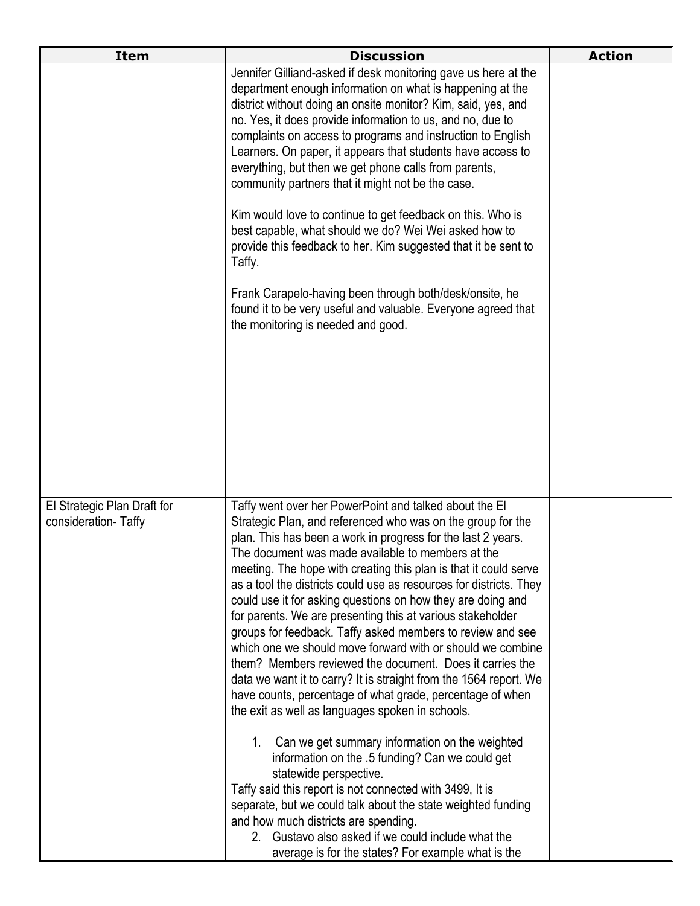| <b>Item</b>                                        | <b>Discussion</b>                                                                                                                                                                                                                                                                                                                                                                                                                                                                                                                                                                                                                                                                                                                                                                                                                                                                               | <b>Action</b> |
|----------------------------------------------------|-------------------------------------------------------------------------------------------------------------------------------------------------------------------------------------------------------------------------------------------------------------------------------------------------------------------------------------------------------------------------------------------------------------------------------------------------------------------------------------------------------------------------------------------------------------------------------------------------------------------------------------------------------------------------------------------------------------------------------------------------------------------------------------------------------------------------------------------------------------------------------------------------|---------------|
|                                                    | Jennifer Gilliand-asked if desk monitoring gave us here at the<br>department enough information on what is happening at the<br>district without doing an onsite monitor? Kim, said, yes, and<br>no. Yes, it does provide information to us, and no, due to<br>complaints on access to programs and instruction to English<br>Learners. On paper, it appears that students have access to<br>everything, but then we get phone calls from parents,<br>community partners that it might not be the case.<br>Kim would love to continue to get feedback on this. Who is                                                                                                                                                                                                                                                                                                                            |               |
|                                                    | best capable, what should we do? Wei Wei asked how to<br>provide this feedback to her. Kim suggested that it be sent to<br>Taffy.<br>Frank Carapelo-having been through both/desk/onsite, he                                                                                                                                                                                                                                                                                                                                                                                                                                                                                                                                                                                                                                                                                                    |               |
|                                                    | found it to be very useful and valuable. Everyone agreed that<br>the monitoring is needed and good.                                                                                                                                                                                                                                                                                                                                                                                                                                                                                                                                                                                                                                                                                                                                                                                             |               |
| El Strategic Plan Draft for<br>consideration-Taffy | Taffy went over her PowerPoint and talked about the EI<br>Strategic Plan, and referenced who was on the group for the<br>plan. This has been a work in progress for the last 2 years.<br>The document was made available to members at the<br>meeting. The hope with creating this plan is that it could serve<br>as a tool the districts could use as resources for districts. They<br>could use it for asking questions on how they are doing and<br>for parents. We are presenting this at various stakeholder<br>groups for feedback. Taffy asked members to review and see<br>which one we should move forward with or should we combine<br>them? Members reviewed the document. Does it carries the<br>data we want it to carry? It is straight from the 1564 report. We<br>have counts, percentage of what grade, percentage of when<br>the exit as well as languages spoken in schools. |               |
|                                                    | Can we get summary information on the weighted<br>$1_{\cdot}$<br>information on the .5 funding? Can we could get<br>statewide perspective.<br>Taffy said this report is not connected with 3499, It is<br>separate, but we could talk about the state weighted funding<br>and how much districts are spending.<br>2. Gustavo also asked if we could include what the<br>average is for the states? For example what is the                                                                                                                                                                                                                                                                                                                                                                                                                                                                      |               |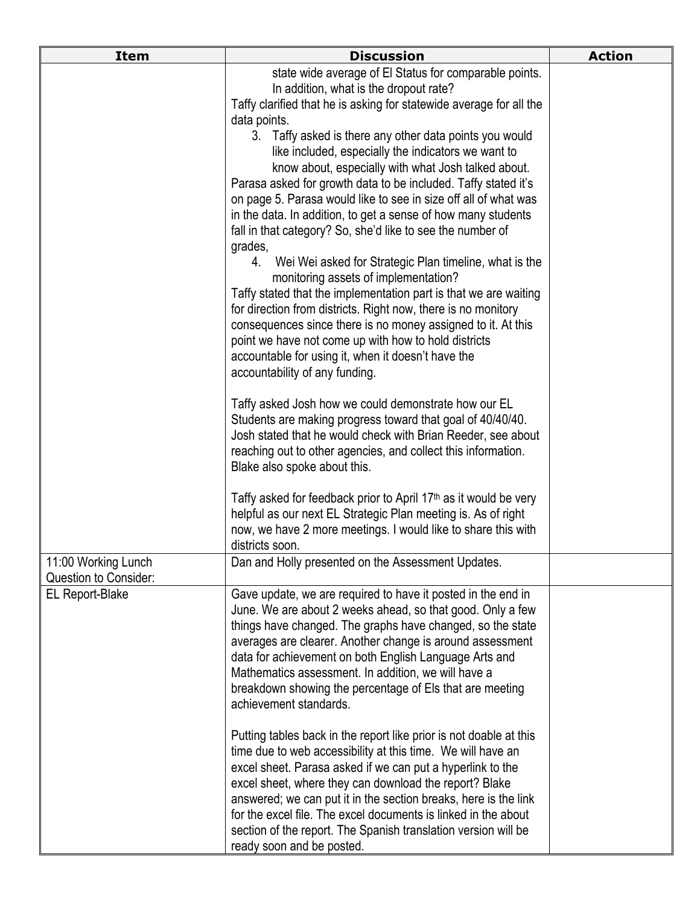| <b>Item</b>                              | <b>Discussion</b>                                                                                                                             | <b>Action</b> |
|------------------------------------------|-----------------------------------------------------------------------------------------------------------------------------------------------|---------------|
|                                          | state wide average of El Status for comparable points.                                                                                        |               |
|                                          | In addition, what is the dropout rate?<br>Taffy clarified that he is asking for statewide average for all the                                 |               |
|                                          | data points.                                                                                                                                  |               |
|                                          | 3. Taffy asked is there any other data points you would                                                                                       |               |
|                                          | like included, especially the indicators we want to                                                                                           |               |
|                                          | know about, especially with what Josh talked about.                                                                                           |               |
|                                          | Parasa asked for growth data to be included. Taffy stated it's                                                                                |               |
|                                          | on page 5. Parasa would like to see in size off all of what was<br>in the data. In addition, to get a sense of how many students              |               |
|                                          | fall in that category? So, she'd like to see the number of                                                                                    |               |
|                                          | grades,<br>Wei Wei asked for Strategic Plan timeline, what is the<br>4.                                                                       |               |
|                                          | monitoring assets of implementation?                                                                                                          |               |
|                                          | Taffy stated that the implementation part is that we are waiting                                                                              |               |
|                                          | for direction from districts. Right now, there is no monitory                                                                                 |               |
|                                          | consequences since there is no money assigned to it. At this                                                                                  |               |
|                                          | point we have not come up with how to hold districts<br>accountable for using it, when it doesn't have the                                    |               |
|                                          | accountability of any funding.                                                                                                                |               |
|                                          |                                                                                                                                               |               |
|                                          | Taffy asked Josh how we could demonstrate how our EL                                                                                          |               |
|                                          | Students are making progress toward that goal of 40/40/40.<br>Josh stated that he would check with Brian Reeder, see about                    |               |
|                                          | reaching out to other agencies, and collect this information.                                                                                 |               |
|                                          | Blake also spoke about this.                                                                                                                  |               |
|                                          |                                                                                                                                               |               |
|                                          | Taffy asked for feedback prior to April 17 <sup>th</sup> as it would be very<br>helpful as our next EL Strategic Plan meeting is. As of right |               |
|                                          | now, we have 2 more meetings. I would like to share this with                                                                                 |               |
|                                          | districts soon.                                                                                                                               |               |
| 11:00 Working Lunch                      | Dan and Holly presented on the Assessment Updates.                                                                                            |               |
| Question to Consider:<br>EL Report-Blake | Gave update, we are required to have it posted in the end in                                                                                  |               |
|                                          | June. We are about 2 weeks ahead, so that good. Only a few                                                                                    |               |
|                                          | things have changed. The graphs have changed, so the state                                                                                    |               |
|                                          | averages are clearer. Another change is around assessment                                                                                     |               |
|                                          | data for achievement on both English Language Arts and<br>Mathematics assessment. In addition, we will have a                                 |               |
|                                          | breakdown showing the percentage of Els that are meeting                                                                                      |               |
|                                          | achievement standards.                                                                                                                        |               |
|                                          | Putting tables back in the report like prior is not doable at this                                                                            |               |
|                                          | time due to web accessibility at this time. We will have an                                                                                   |               |
|                                          | excel sheet. Parasa asked if we can put a hyperlink to the<br>excel sheet, where they can download the report? Blake                          |               |
|                                          | answered; we can put it in the section breaks, here is the link                                                                               |               |
|                                          | for the excel file. The excel documents is linked in the about                                                                                |               |
|                                          | section of the report. The Spanish translation version will be                                                                                |               |
|                                          | ready soon and be posted.                                                                                                                     |               |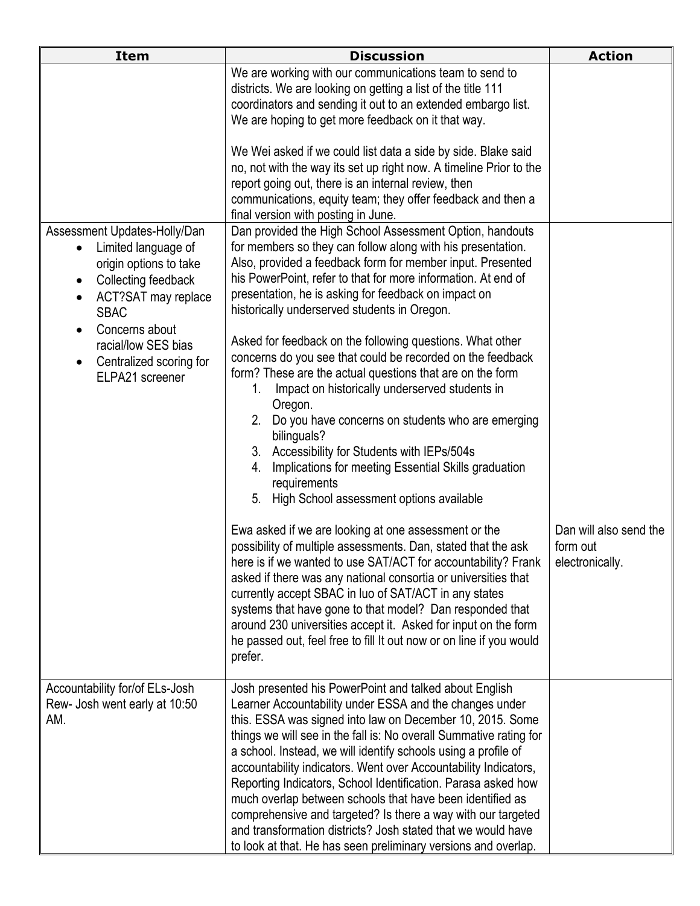| <b>Item</b>                                                                                                                                                                                                                                                 | <b>Discussion</b>                                                                                                                                                                                                                                                                                                                                                                                                                                                                                                                                                                                                                                                                                                                                                                                                 | <b>Action</b>                                         |
|-------------------------------------------------------------------------------------------------------------------------------------------------------------------------------------------------------------------------------------------------------------|-------------------------------------------------------------------------------------------------------------------------------------------------------------------------------------------------------------------------------------------------------------------------------------------------------------------------------------------------------------------------------------------------------------------------------------------------------------------------------------------------------------------------------------------------------------------------------------------------------------------------------------------------------------------------------------------------------------------------------------------------------------------------------------------------------------------|-------------------------------------------------------|
|                                                                                                                                                                                                                                                             | We are working with our communications team to send to<br>districts. We are looking on getting a list of the title 111<br>coordinators and sending it out to an extended embargo list.<br>We are hoping to get more feedback on it that way.                                                                                                                                                                                                                                                                                                                                                                                                                                                                                                                                                                      |                                                       |
|                                                                                                                                                                                                                                                             | We Wei asked if we could list data a side by side. Blake said<br>no, not with the way its set up right now. A timeline Prior to the<br>report going out, there is an internal review, then<br>communications, equity team; they offer feedback and then a<br>final version with posting in June.                                                                                                                                                                                                                                                                                                                                                                                                                                                                                                                  |                                                       |
| Assessment Updates-Holly/Dan<br>Limited language of<br>$\bullet$<br>origin options to take<br>Collecting feedback<br>$\bullet$<br>ACT?SAT may replace<br><b>SBAC</b><br>Concerns about<br>racial/low SES bias<br>Centralized scoring for<br>ELPA21 screener | Dan provided the High School Assessment Option, handouts<br>for members so they can follow along with his presentation.<br>Also, provided a feedback form for member input. Presented<br>his PowerPoint, refer to that for more information. At end of<br>presentation, he is asking for feedback on impact on<br>historically underserved students in Oregon.<br>Asked for feedback on the following questions. What other<br>concerns do you see that could be recorded on the feedback<br>form? These are the actual questions that are on the form<br>1.<br>Impact on historically underserved students in<br>Oregon.<br>2.<br>Do you have concerns on students who are emerging<br>bilinguals?<br>3. Accessibility for Students with IEPs/504s<br>Implications for meeting Essential Skills graduation<br>4. |                                                       |
|                                                                                                                                                                                                                                                             | requirements<br>5.<br>High School assessment options available<br>Ewa asked if we are looking at one assessment or the<br>possibility of multiple assessments. Dan, stated that the ask<br>here is if we wanted to use SAT/ACT for accountability? Frank<br>asked if there was any national consortia or universities that<br>currently accept SBAC in luo of SAT/ACT in any states<br>systems that have gone to that model? Dan responded that<br>around 230 universities accept it. Asked for input on the form<br>he passed out, feel free to fill It out now or on line if you would<br>prefer.                                                                                                                                                                                                               | Dan will also send the<br>form out<br>electronically. |
| Accountability for/of ELs-Josh<br>Rew- Josh went early at 10:50<br>AM.                                                                                                                                                                                      | Josh presented his PowerPoint and talked about English<br>Learner Accountability under ESSA and the changes under<br>this. ESSA was signed into law on December 10, 2015. Some<br>things we will see in the fall is: No overall Summative rating for<br>a school. Instead, we will identify schools using a profile of<br>accountability indicators. Went over Accountability Indicators,<br>Reporting Indicators, School Identification. Parasa asked how<br>much overlap between schools that have been identified as<br>comprehensive and targeted? Is there a way with our targeted<br>and transformation districts? Josh stated that we would have<br>to look at that. He has seen preliminary versions and overlap.                                                                                         |                                                       |